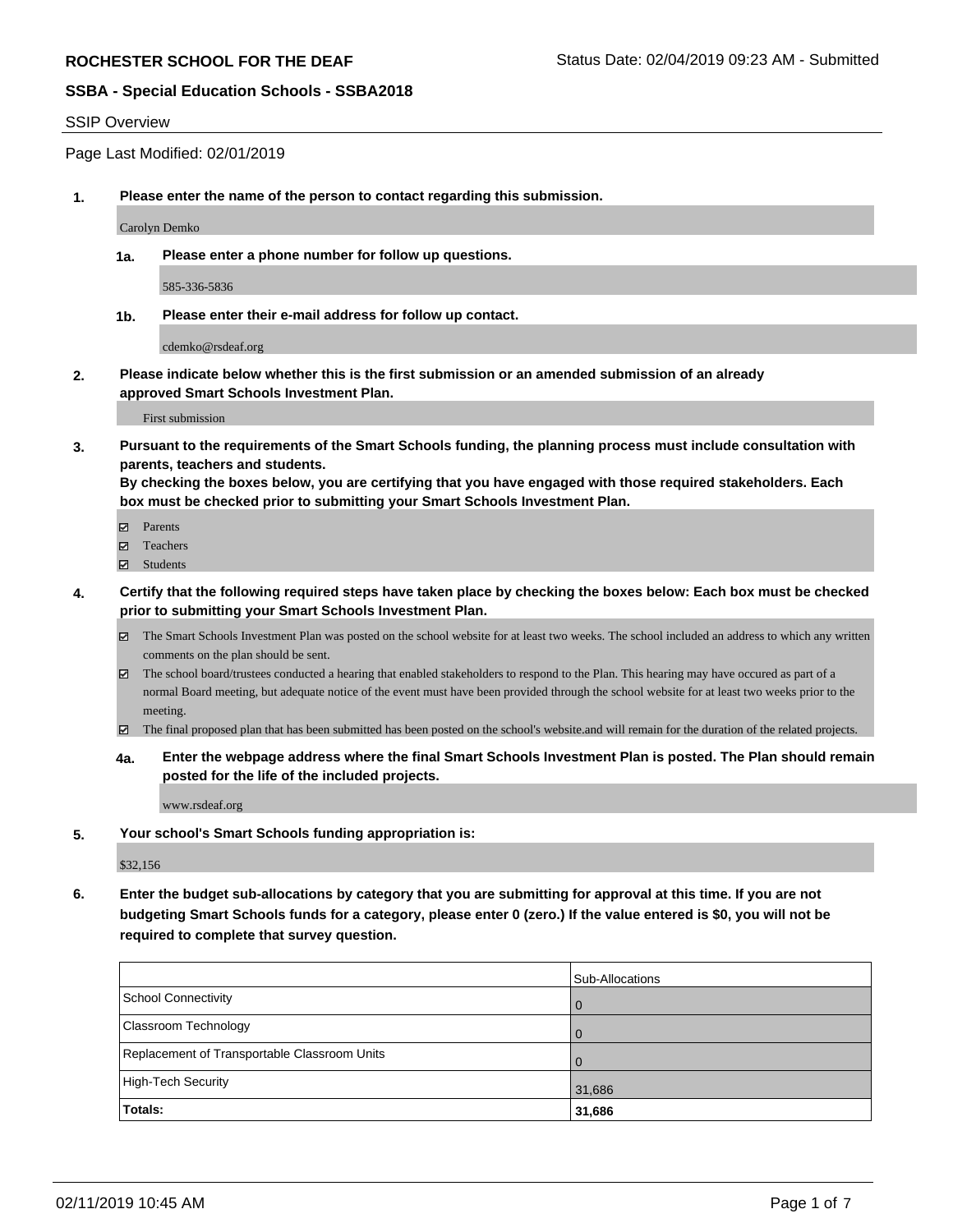#### SSIP Overview

Page Last Modified: 02/01/2019

**1. Please enter the name of the person to contact regarding this submission.**

Carolyn Demko

**1a. Please enter a phone number for follow up questions.**

585-336-5836

**1b. Please enter their e-mail address for follow up contact.**

cdemko@rsdeaf.org

**2. Please indicate below whether this is the first submission or an amended submission of an already approved Smart Schools Investment Plan.**

First submission

**3. Pursuant to the requirements of the Smart Schools funding, the planning process must include consultation with parents, teachers and students.**

**By checking the boxes below, you are certifying that you have engaged with those required stakeholders. Each box must be checked prior to submitting your Smart Schools Investment Plan.**

- $\blacksquare$  Parents
- Teachers
- Students
- **4. Certify that the following required steps have taken place by checking the boxes below: Each box must be checked prior to submitting your Smart Schools Investment Plan.**
	- $\boxtimes$  The Smart Schools Investment Plan was posted on the school website for at least two weeks. The school included an address to which any written comments on the plan should be sent.
	- $\boxtimes$  The school board/trustees conducted a hearing that enabled stakeholders to respond to the Plan. This hearing may have occured as part of a normal Board meeting, but adequate notice of the event must have been provided through the school website for at least two weeks prior to the meeting.
	- The final proposed plan that has been submitted has been posted on the school's website.and will remain for the duration of the related projects.
	- **4a. Enter the webpage address where the final Smart Schools Investment Plan is posted. The Plan should remain posted for the life of the included projects.**

www.rsdeaf.org

**5. Your school's Smart Schools funding appropriation is:**

\$32,156

**6. Enter the budget sub-allocations by category that you are submitting for approval at this time. If you are not budgeting Smart Schools funds for a category, please enter 0 (zero.) If the value entered is \$0, you will not be required to complete that survey question.**

|                                              | <b>Sub-Allocations</b> |
|----------------------------------------------|------------------------|
| School Connectivity                          | $\overline{0}$         |
| <b>Classroom Technology</b>                  | $\Omega$               |
| Replacement of Transportable Classroom Units | $\Omega$               |
| High-Tech Security                           | 31,686                 |
| Totals:                                      | 31,686                 |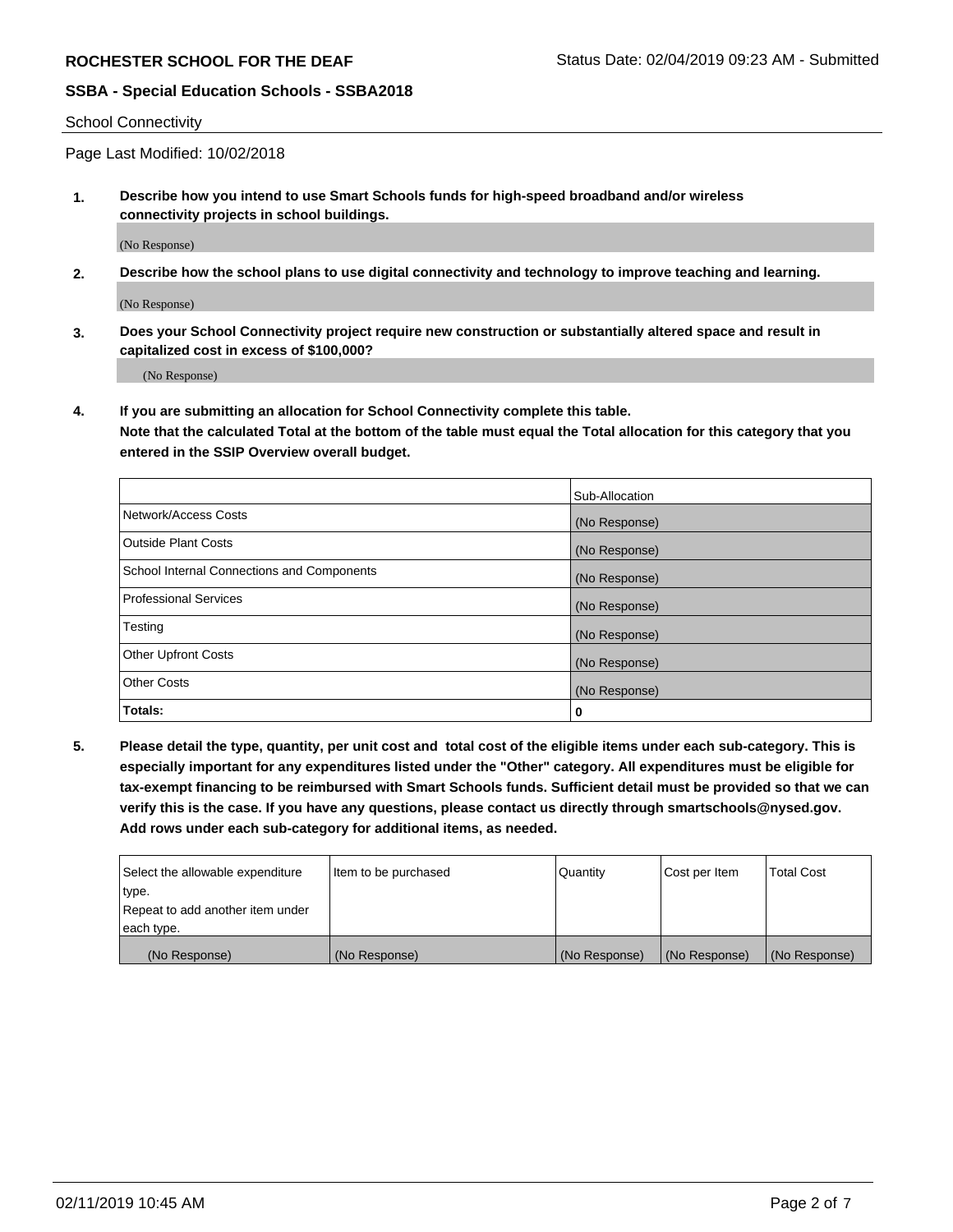#### School Connectivity

Page Last Modified: 10/02/2018

**1. Describe how you intend to use Smart Schools funds for high-speed broadband and/or wireless connectivity projects in school buildings.**

(No Response)

**2. Describe how the school plans to use digital connectivity and technology to improve teaching and learning.**

(No Response)

**3. Does your School Connectivity project require new construction or substantially altered space and result in capitalized cost in excess of \$100,000?**

(No Response)

**4. If you are submitting an allocation for School Connectivity complete this table.**

**Note that the calculated Total at the bottom of the table must equal the Total allocation for this category that you entered in the SSIP Overview overall budget.** 

|                                            | Sub-Allocation |
|--------------------------------------------|----------------|
| Network/Access Costs                       | (No Response)  |
| <b>Outside Plant Costs</b>                 | (No Response)  |
| School Internal Connections and Components | (No Response)  |
| <b>Professional Services</b>               | (No Response)  |
| Testing                                    | (No Response)  |
| <b>Other Upfront Costs</b>                 | (No Response)  |
| <b>Other Costs</b>                         | (No Response)  |
| Totals:                                    | 0              |

**5. Please detail the type, quantity, per unit cost and total cost of the eligible items under each sub-category. This is especially important for any expenditures listed under the "Other" category. All expenditures must be eligible for tax-exempt financing to be reimbursed with Smart Schools funds. Sufficient detail must be provided so that we can verify this is the case. If you have any questions, please contact us directly through smartschools@nysed.gov. Add rows under each sub-category for additional items, as needed.**

| Select the allowable expenditure | Item to be purchased | Quantity      | Cost per Item | <b>Total Cost</b> |
|----------------------------------|----------------------|---------------|---------------|-------------------|
| type.                            |                      |               |               |                   |
| Repeat to add another item under |                      |               |               |                   |
| each type.                       |                      |               |               |                   |
| (No Response)                    | (No Response)        | (No Response) | (No Response) | (No Response)     |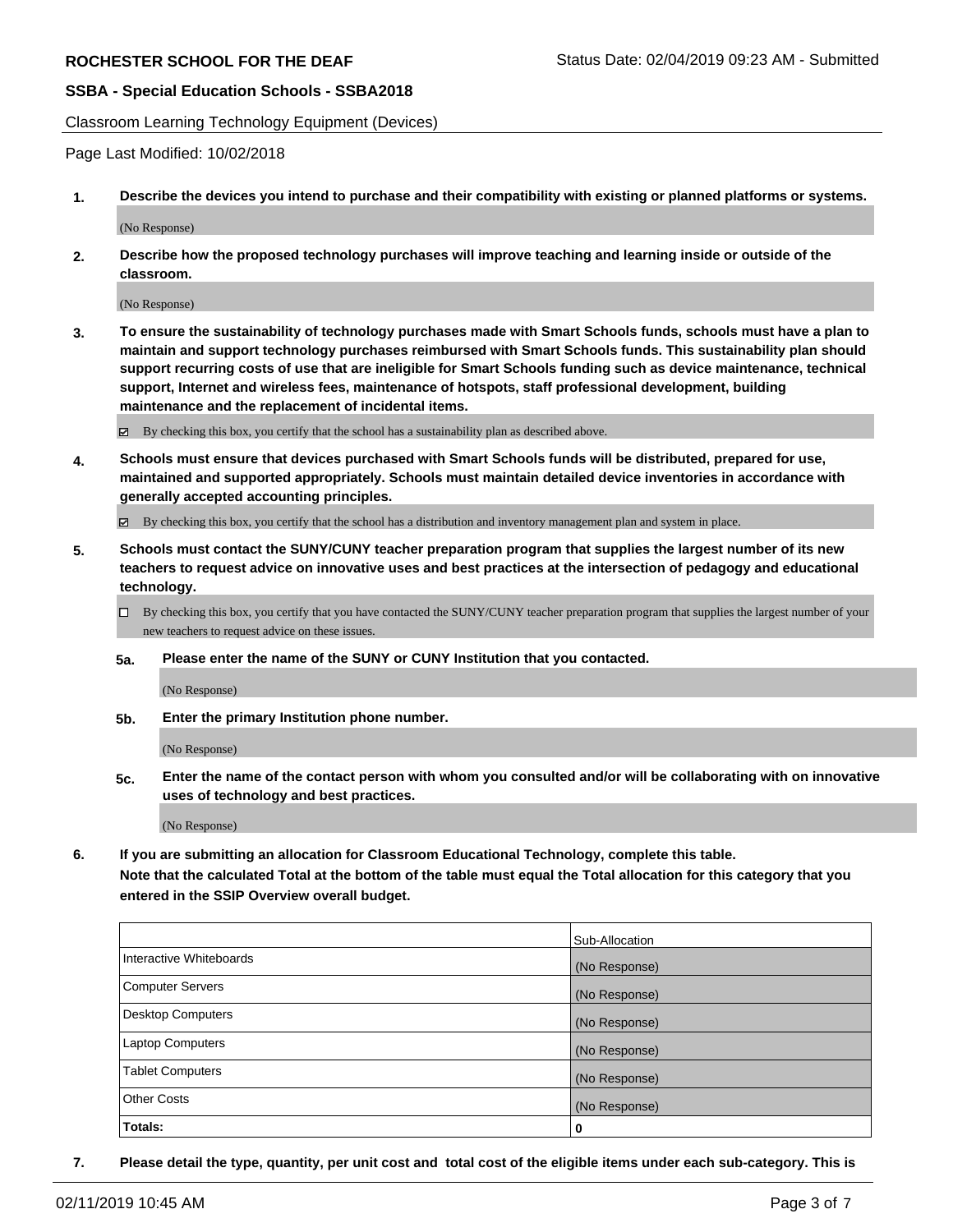Classroom Learning Technology Equipment (Devices)

Page Last Modified: 10/02/2018

**1. Describe the devices you intend to purchase and their compatibility with existing or planned platforms or systems.**

(No Response)

**2. Describe how the proposed technology purchases will improve teaching and learning inside or outside of the classroom.**

(No Response)

**3. To ensure the sustainability of technology purchases made with Smart Schools funds, schools must have a plan to maintain and support technology purchases reimbursed with Smart Schools funds. This sustainability plan should support recurring costs of use that are ineligible for Smart Schools funding such as device maintenance, technical support, Internet and wireless fees, maintenance of hotspots, staff professional development, building maintenance and the replacement of incidental items.**

By checking this box, you certify that the school has a sustainability plan as described above.

**4. Schools must ensure that devices purchased with Smart Schools funds will be distributed, prepared for use, maintained and supported appropriately. Schools must maintain detailed device inventories in accordance with generally accepted accounting principles.**

By checking this box, you certify that the school has a distribution and inventory management plan and system in place.

- **5. Schools must contact the SUNY/CUNY teacher preparation program that supplies the largest number of its new teachers to request advice on innovative uses and best practices at the intersection of pedagogy and educational technology.**
	- $\Box$  By checking this box, you certify that you have contacted the SUNY/CUNY teacher preparation program that supplies the largest number of your new teachers to request advice on these issues.
	- **5a. Please enter the name of the SUNY or CUNY Institution that you contacted.**

(No Response)

**5b. Enter the primary Institution phone number.**

(No Response)

**5c. Enter the name of the contact person with whom you consulted and/or will be collaborating with on innovative uses of technology and best practices.**

(No Response)

**6. If you are submitting an allocation for Classroom Educational Technology, complete this table.**

**Note that the calculated Total at the bottom of the table must equal the Total allocation for this category that you entered in the SSIP Overview overall budget.**

|                         | Sub-Allocation |
|-------------------------|----------------|
| Interactive Whiteboards | (No Response)  |
| Computer Servers        | (No Response)  |
| Desktop Computers       | (No Response)  |
| Laptop Computers        | (No Response)  |
| <b>Tablet Computers</b> | (No Response)  |
| <b>Other Costs</b>      | (No Response)  |
| Totals:                 | 0              |

**7. Please detail the type, quantity, per unit cost and total cost of the eligible items under each sub-category. This is**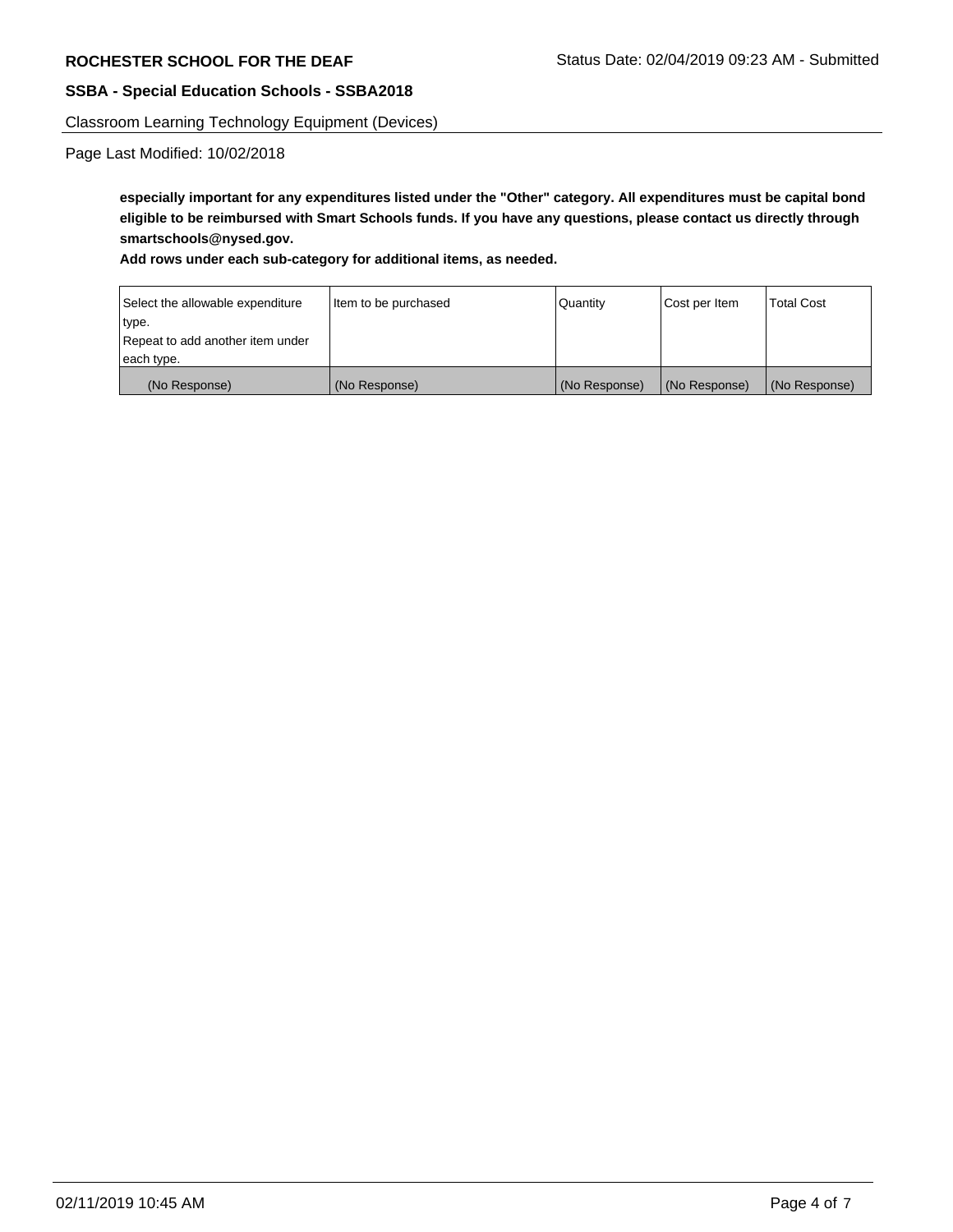Classroom Learning Technology Equipment (Devices)

Page Last Modified: 10/02/2018

**especially important for any expenditures listed under the "Other" category. All expenditures must be capital bond eligible to be reimbursed with Smart Schools funds. If you have any questions, please contact us directly through smartschools@nysed.gov.**

#### **Add rows under each sub-category for additional items, as needed.**

| Select the allowable expenditure | Item to be purchased | Quantity      | Cost per Item | <b>Total Cost</b> |
|----------------------------------|----------------------|---------------|---------------|-------------------|
| type.                            |                      |               |               |                   |
| Repeat to add another item under |                      |               |               |                   |
| each type.                       |                      |               |               |                   |
| (No Response)                    | (No Response)        | (No Response) | (No Response) | (No Response)     |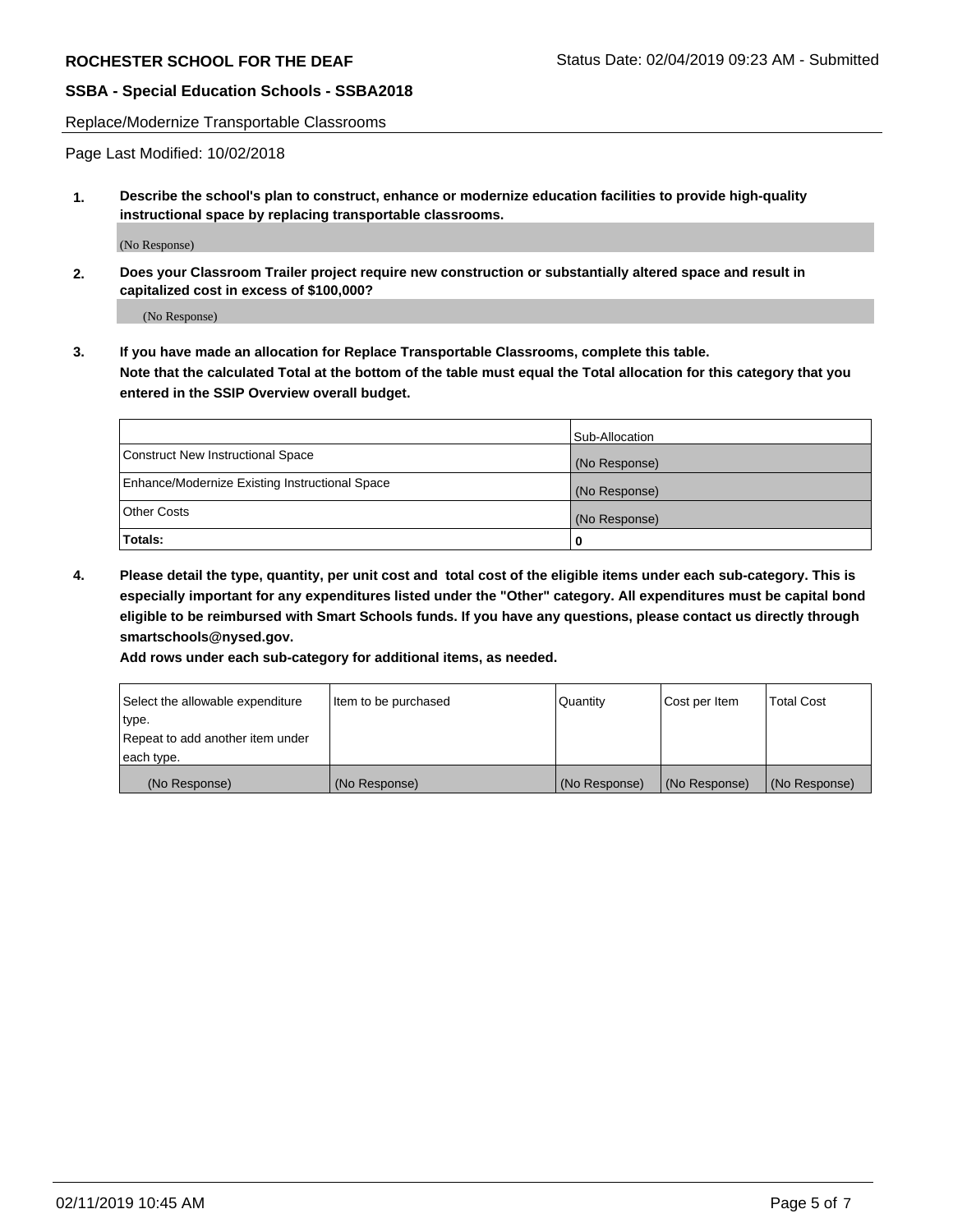Replace/Modernize Transportable Classrooms

Page Last Modified: 10/02/2018

**1. Describe the school's plan to construct, enhance or modernize education facilities to provide high-quality instructional space by replacing transportable classrooms.**

(No Response)

**2. Does your Classroom Trailer project require new construction or substantially altered space and result in capitalized cost in excess of \$100,000?**

(No Response)

**3. If you have made an allocation for Replace Transportable Classrooms, complete this table. Note that the calculated Total at the bottom of the table must equal the Total allocation for this category that you entered in the SSIP Overview overall budget.**

|                                                | Sub-Allocation |
|------------------------------------------------|----------------|
| Construct New Instructional Space              | (No Response)  |
| Enhance/Modernize Existing Instructional Space | (No Response)  |
| Other Costs                                    | (No Response)  |
| Totals:                                        | 0              |

**4. Please detail the type, quantity, per unit cost and total cost of the eligible items under each sub-category. This is especially important for any expenditures listed under the "Other" category. All expenditures must be capital bond eligible to be reimbursed with Smart Schools funds. If you have any questions, please contact us directly through smartschools@nysed.gov.**

**Add rows under each sub-category for additional items, as needed.**

| Select the allowable expenditure | Item to be purchased | Quantity      | Cost per Item | <b>Total Cost</b> |
|----------------------------------|----------------------|---------------|---------------|-------------------|
| type.                            |                      |               |               |                   |
| Repeat to add another item under |                      |               |               |                   |
| each type.                       |                      |               |               |                   |
| (No Response)                    | (No Response)        | (No Response) | (No Response) | (No Response)     |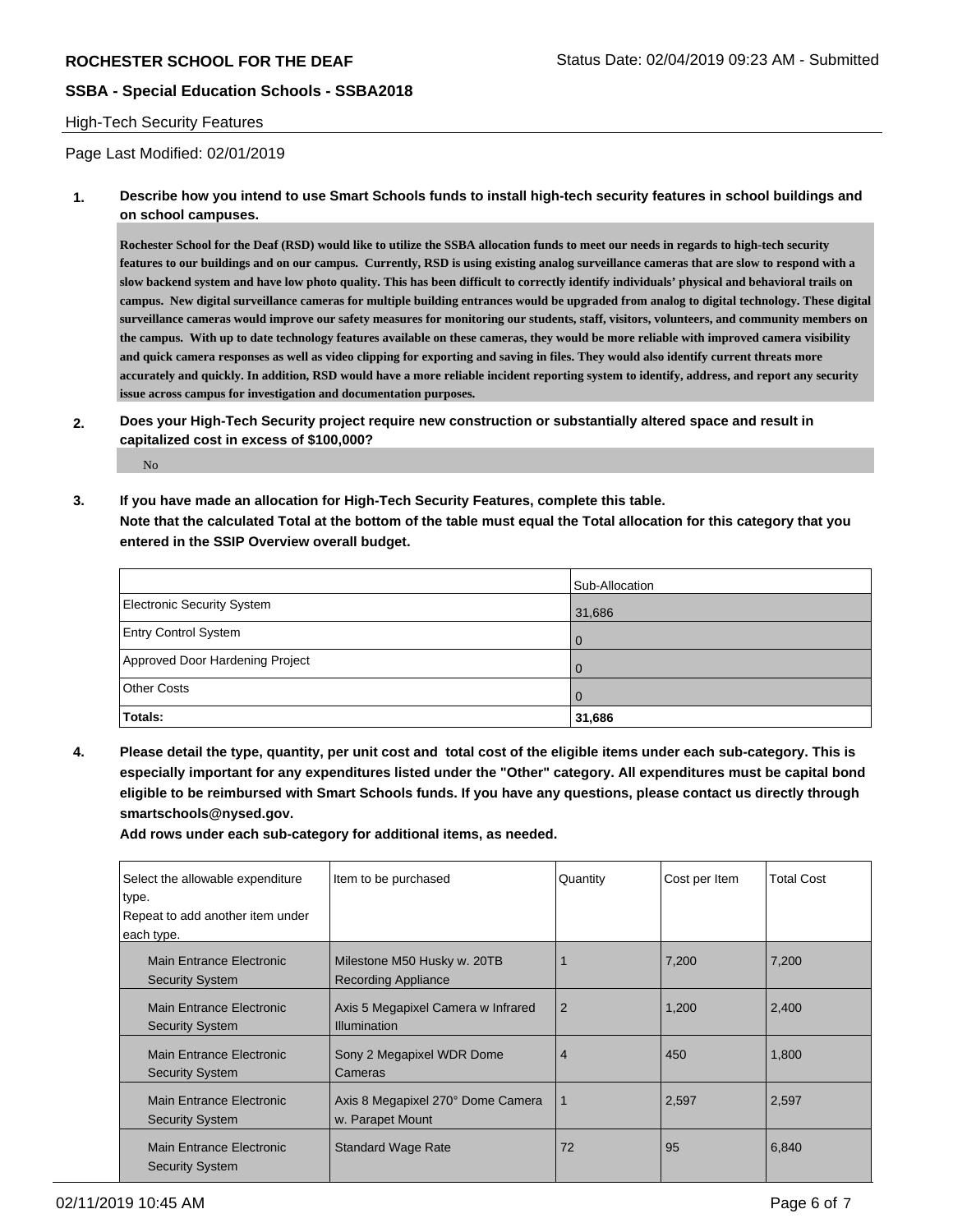#### High-Tech Security Features

Page Last Modified: 02/01/2019

**1. Describe how you intend to use Smart Schools funds to install high-tech security features in school buildings and on school campuses.**

**Rochester School for the Deaf (RSD) would like to utilize the SSBA allocation funds to meet our needs in regards to high-tech security features to our buildings and on our campus. Currently, RSD is using existing analog surveillance cameras that are slow to respond with a slow backend system and have low photo quality. This has been difficult to correctly identify individuals' physical and behavioral trails on campus. New digital surveillance cameras for multiple building entrances would be upgraded from analog to digital technology. These digital surveillance cameras would improve our safety measures for monitoring our students, staff, visitors, volunteers, and community members on the campus. With up to date technology features available on these cameras, they would be more reliable with improved camera visibility and quick camera responses as well as video clipping for exporting and saving in files. They would also identify current threats more accurately and quickly. In addition, RSD would have a more reliable incident reporting system to identify, address, and report any security issue across campus for investigation and documentation purposes.** 

**2. Does your High-Tech Security project require new construction or substantially altered space and result in capitalized cost in excess of \$100,000?**

No

**3. If you have made an allocation for High-Tech Security Features, complete this table. Note that the calculated Total at the bottom of the table must equal the Total allocation for this category that you entered in the SSIP Overview overall budget.**

|                                 | Sub-Allocation |
|---------------------------------|----------------|
| Electronic Security System      | 31,686         |
| <b>Entry Control System</b>     |                |
| Approved Door Hardening Project | $\Omega$       |
| <b>Other Costs</b>              |                |
| Totals:                         | 31,686         |

**4. Please detail the type, quantity, per unit cost and total cost of the eligible items under each sub-category. This is especially important for any expenditures listed under the "Other" category. All expenditures must be capital bond eligible to be reimbursed with Smart Schools funds. If you have any questions, please contact us directly through smartschools@nysed.gov.**

**Add rows under each sub-category for additional items, as needed.**

| Select the allowable expenditure<br>type.<br>Repeat to add another item under | Item to be purchased                                      | Quantity       | Cost per Item | <b>Total Cost</b> |
|-------------------------------------------------------------------------------|-----------------------------------------------------------|----------------|---------------|-------------------|
| each type.                                                                    |                                                           |                |               |                   |
| Main Entrance Electronic<br><b>Security System</b>                            | Milestone M50 Husky w. 20TB<br><b>Recording Appliance</b> |                | 7,200         | 7,200             |
| Main Entrance Electronic<br><b>Security System</b>                            | Axis 5 Megapixel Camera w Infrared<br><b>Illumination</b> | $\overline{2}$ | 1,200         | 2,400             |
| Main Entrance Electronic<br><b>Security System</b>                            | Sony 2 Megapixel WDR Dome<br>Cameras                      | $\overline{4}$ | 450           | 1,800             |
| Main Entrance Electronic<br><b>Security System</b>                            | Axis 8 Megapixel 270° Dome Camera<br>w. Parapet Mount     | 1              | 2,597         | 2,597             |
| Main Entrance Electronic<br><b>Security System</b>                            | <b>Standard Wage Rate</b>                                 | 72             | 95            | 6,840             |